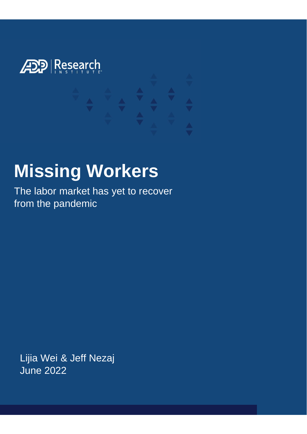

### **Missing Workers**

The labor market has yet to recover from the pandemic

Lijia Wei & Jeff Nezaj June 2022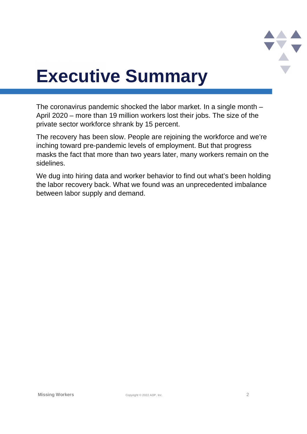

## **Executive Summary**

The coronavirus pandemic shocked the labor market. In a single month – April 2020 – more than 19 million workers lost their jobs. The size of the private sector workforce shrank by 15 percent.

The recovery has been slow. People are rejoining the workforce and we're inching toward pre-pandemic levels of employment. But that progress masks the fact that more than two years later, many workers remain on the sidelines.

We dug into hiring data and worker behavior to find out what's been holding the labor recovery back. What we found was an unprecedented imbalance between labor supply and demand.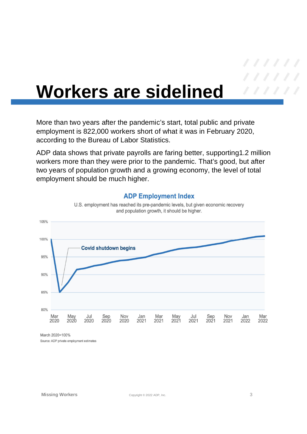

### **Workers are sidelined**

More than two years after the pandemic's start, total public and private employment is 822,000 workers short of what it was in February 2020, according to the Bureau of Labor Statistics.

ADP data shows that private payrolls are faring better, supporting1.2 million workers more than they were prior to the pandemic. That's good, but after two years of population growth and a growing economy, the level of total employment should be much higher.



#### **ADP Employment Index**

U.S. employment has reached its pre-pandemic levels, but given economic recovery and population growth, it should be higher.

March 2020=100%

Source: ADP private employment estimates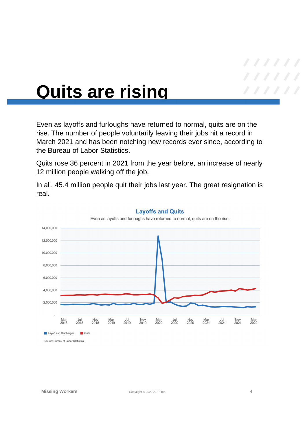

### **Quits are rising**

Even as layoffs and furloughs have returned to normal, quits are on the rise. The number of people voluntarily leaving their jobs hit a record in March 2021 and has been notching new records ever since, according to the Bureau of Labor Statistics.

Quits rose 36 percent in 2021 from the year before, an increase of nearly 12 million people walking off the job.

In all, 45.4 million people quit their jobs last year. The great resignation is real.



#### **Layoffs and Quits**

Even as layoffs and furloughs have returned to normal, quits are on the rise.

Source: Bureau of Labor Statistics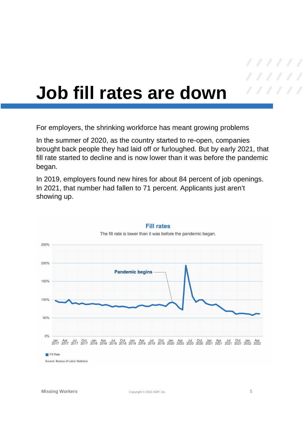### **Job fill rates are down**

For employers, the shrinking workforce has meant growing problems

In the summer of 2020, as the country started to re-open, companies brought back people they had laid off or furloughed. But by early 2021, that fill rate started to decline and is now lower than it was before the pandemic began.

In 2019, employers found new hires for about 84 percent of job openings. In 2021, that number had fallen to 71 percent. Applicants just aren't showing up.



#### **Fill rates**

The fill rate is lower than it was before the pandemic began.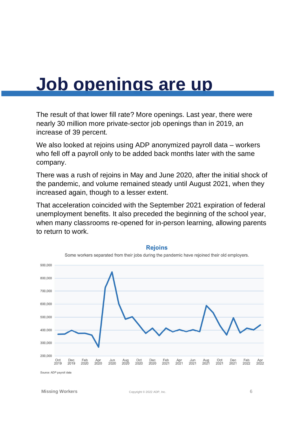### **Job openings are up**

The result of that lower fill rate? More openings. Last year, there were nearly 30 million more private-sector job openings than in 2019, an increase of 39 percent.

We also looked at rejoins using ADP anonymized payroll data – workers who fell off a payroll only to be added back months later with the same company.

There was a rush of rejoins in May and June 2020, after the initial shock of the pandemic, and volume remained steady until August 2021, when they increased again, though to a lesser extent.

That acceleration coincided with the September 2021 expiration of federal unemployment benefits. It also preceded the beginning of the school year, when many classrooms re-opened for in-person learning, allowing parents to return to work.



#### **Rejoins**

**Missing Workers Copyright © 2022 ADP, Inc.** 6 **6**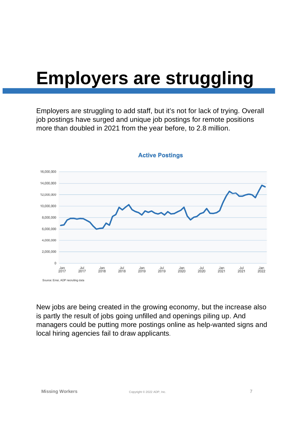## **Employers are struggling**

Employers are struggling to add staff, but it's not for lack of trying. Overall job postings have surged and unique job postings for remote positions more than doubled in 2021 from the year before, to 2.8 million.



**Active Postings** 

New jobs are being created in the growing economy, but the increase also is partly the result of jobs going unfilled and openings piling up. And managers could be putting more postings online as help-wanted signs and local hiring agencies fail to draw applicants.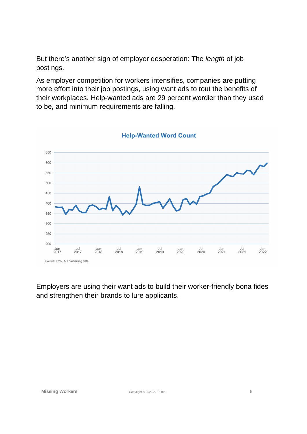But there's another sign of employer desperation: The *length* of job postings.

As employer competition for workers intensifies, companies are putting more effort into their job postings, using want ads to tout the benefits of their workplaces. Help-wanted ads are 29 percent wordier than they used to be, and minimum requirements are falling.



#### **Help-Wanted Word Count**

Employers are using their want ads to build their worker-friendly bona fides and strengthen their brands to lure applicants.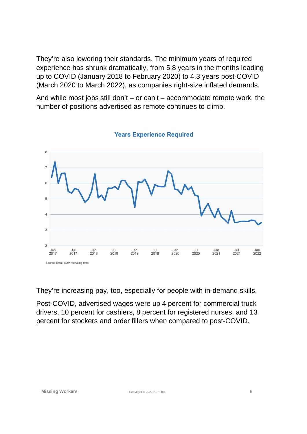They're also lowering their standards. The minimum years of required experience has shrunk dramatically, from 5.8 years in the months leading up to COVID (January 2018 to February 2020) to 4.3 years post-COVID (March 2020 to March 2022), as companies right-size inflated demands.

And while most jobs still don't – or can't – accommodate remote work, the number of positions advertised as remote continues to climb.



**Years Experience Required** 

They're increasing pay, too, especially for people with in-demand skills.

Post-COVID, advertised wages were up 4 percent for commercial truck drivers, 10 percent for cashiers, 8 percent for registered nurses, and 13 percent for stockers and order fillers when compared to post-COVID.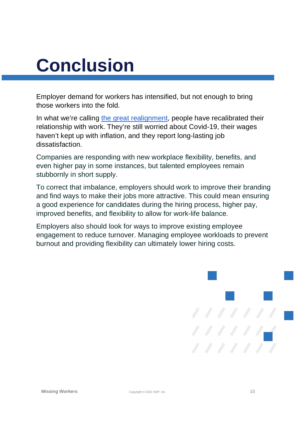# **Conclusion**

Employer demand for workers has intensified, but not enough to bring those workers into the fold.

In what we're calling the great realignment, people have recalibrated their relationship with work. They're still worried about Covid-19, their wages haven't kept up with inflation, and they report long-lasting job dissatisfaction.

Companies are responding with new workplace flexibility, benefits, and even higher pay in some instances, but talented employees remain stubbornly in short supply.

To correct that imbalance, employers should work to improve their branding and find ways to make their jobs more attractive. This could mean ensuring a good experience for candidates during the hiring process, higher pay, improved benefits, and flexibility to allow for work-life balance.

Employers also should look for ways to improve existing employee engagement to reduce turnover. Managing employee workloads to prevent burnout and providing flexibility can ultimately lower hiring costs.